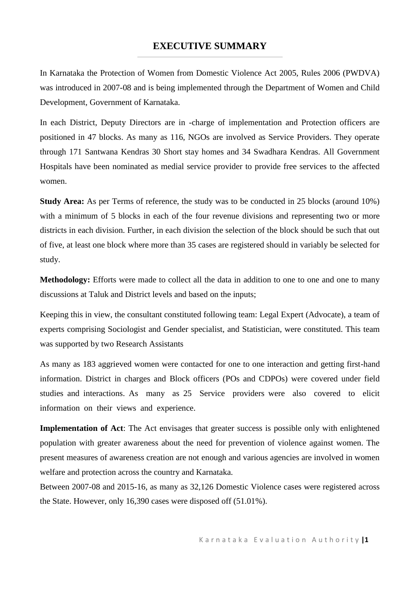# **EXECUTIVE SUMMARY**

In Karnataka the Protection of Women from Domestic Violence Act 2005, Rules 2006 (PWDVA) was introduced in 2007-08 and is being implemented through the Department of Women and Child Development, Government of Karnataka.

In each District, Deputy Directors are in -charge of implementation and Protection officers are positioned in 47 blocks. As many as 116, NGOs are involved as Service Providers. They operate through 171 Santwana Kendras 30 Short stay homes and 34 Swadhara Kendras. All Government Hospitals have been nominated as medial service provider to provide free services to the affected women.

**Study Area:** As per Terms of reference, the study was to be conducted in 25 blocks (around 10%) with a minimum of 5 blocks in each of the four revenue divisions and representing two or more districts in each division. Further, in each division the selection of the block should be such that out of five, at least one block where more than 35 cases are registered should in variably be selected for study.

**Methodology:** Efforts were made to collect all the data in addition to one to one and one to many discussions at Taluk and District levels and based on the inputs;

Keeping this in view, the consultant constituted following team: Legal Expert (Advocate), a team of experts comprising Sociologist and Gender specialist, and Statistician, were constituted. This team was supported by two Research Assistants

As many as 183 aggrieved women were contacted for one to one interaction and getting first-hand information. District in charges and Block officers (POs and CDPOs) were covered under field studies and interactions. As many as 25 Service providers were also covered to elicit information on their views and experience.

**Implementation of Act**: The Act envisages that greater success is possible only with enlightened population with greater awareness about the need for prevention of violence against women. The present measures of awareness creation are not enough and various agencies are involved in women welfare and protection across the country and Karnataka.

Between 2007-08 and 2015-16, as many as 32,126 Domestic Violence cases were registered across the State. However, only 16,390 cases were disposed off (51.01%).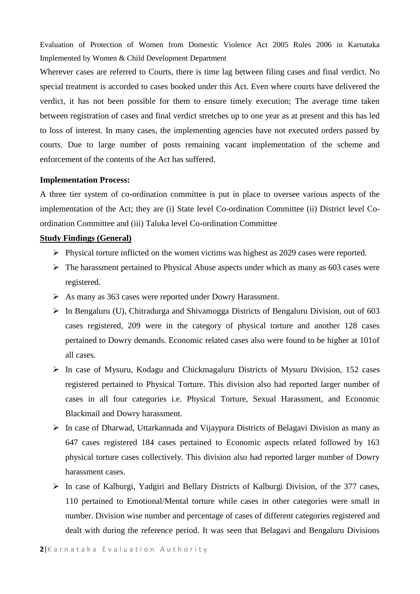Evaluation of Protection of Women from Domestic Violence Act 2005 Rules 2006 in Karnataka Implemented by Women & Child Development Department

Wherever cases are referred to Courts, there is time lag between filing cases and final verdict. No special treatment is accorded to cases booked under this Act. Even where courts have delivered the verdict, it has not been possible for them to ensure timely execution; The average time taken between registration of cases and final verdict stretches up to one year as at present and this has led to loss of interest. In many cases, the implementing agencies have not executed orders passed by courts. Due to large number of posts remaining vacant implementation of the scheme and enforcement of the contents of the Act has suffered.

## **Implementation Process:**

A three tier system of co-ordination committee is put in place to oversee various aspects of the implementation of the Act; they are (i) State level Co-ordination Committee (ii) District level Coordination Committee and (iii) Taluka level Co-ordination Committee

## **Study Findings (General)**

- ➢ Physical torture inflicted on the women victims was highest as 2029 cases were reported.
- $\triangleright$  The harassment pertained to Physical Abuse aspects under which as many as 603 cases were registered.
- ➢ As many as 363 cases were reported under Dowry Harassment.
- ➢ In Bengaluru (U), Chitradurga and Shivamogga Districts of Bengaluru Division, out of 603 cases registered, 209 were in the category of physical torture and another 128 cases pertained to Dowry demands. Economic related cases also were found to be higher at 101of all cases.
- ➢ In case of Mysuru, Kodagu and Chickmagaluru Districts of Mysuru Division, 152 cases registered pertained to Physical Torture. This division also had reported larger number of cases in all four categories i.e. Physical Torture, Sexual Harassment, and Economic Blackmail and Dowry harassment.
- ➢ In case of Dharwad, Uttarkannada and Vijaypura Districts of Belagavi Division as many as 647 cases registered 184 cases pertained to Economic aspects related followed by 163 physical torture cases collectively. This division also had reported larger number of Dowry harassment cases.
- ➢ In case of Kalburgi, Yadgiri and Bellary Districts of Kalburgi Division, of the 377 cases, 110 pertained to Emotional/Mental torture while cases in other categories were small in number. Division wise number and percentage of cases of different categories registered and dealt with during the reference period. It was seen that Belagavi and Bengaluru Divisions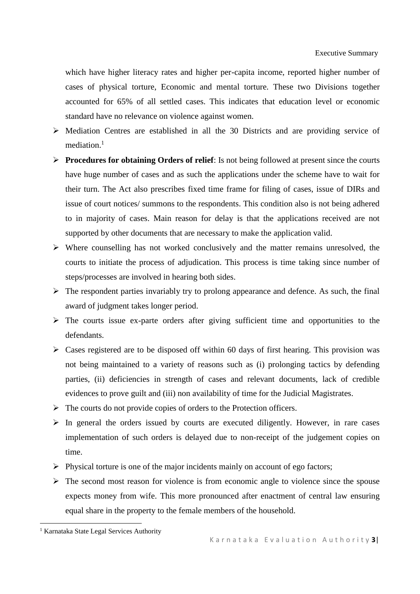which have higher literacy rates and higher per-capita income, reported higher number of cases of physical torture, Economic and mental torture. These two Divisions together accounted for 65% of all settled cases. This indicates that education level or economic standard have no relevance on violence against women.

- ➢ Mediation Centres are established in all the 30 Districts and are providing service of mediation.<sup>1</sup>
- ➢ **Procedures for obtaining Orders of relief**: Is not being followed at present since the courts have huge number of cases and as such the applications under the scheme have to wait for their turn. The Act also prescribes fixed time frame for filing of cases, issue of DIRs and issue of court notices/ summons to the respondents. This condition also is not being adhered to in majority of cases. Main reason for delay is that the applications received are not supported by other documents that are necessary to make the application valid.
- ➢ Where counselling has not worked conclusively and the matter remains unresolved, the courts to initiate the process of adjudication. This process is time taking since number of steps/processes are involved in hearing both sides.
- $\triangleright$  The respondent parties invariably try to prolong appearance and defence. As such, the final award of judgment takes longer period.
- $\triangleright$  The courts issue ex-parte orders after giving sufficient time and opportunities to the defendants.
- $\triangleright$  Cases registered are to be disposed off within 60 days of first hearing. This provision was not being maintained to a variety of reasons such as (i) prolonging tactics by defending parties, (ii) deficiencies in strength of cases and relevant documents, lack of credible evidences to prove guilt and (iii) non availability of time for the Judicial Magistrates.
- ➢ The courts do not provide copies of orders to the Protection officers.
- $\triangleright$  In general the orders issued by courts are executed diligently. However, in rare cases implementation of such orders is delayed due to non-receipt of the judgement copies on time.
- ➢ Physical torture is one of the major incidents mainly on account of ego factors;
- $\triangleright$  The second most reason for violence is from economic angle to violence since the spouse expects money from wife. This more pronounced after enactment of central law ensuring equal share in the property to the female members of the household.

<sup>&</sup>lt;sup>1</sup> Karnataka State Legal Services Authority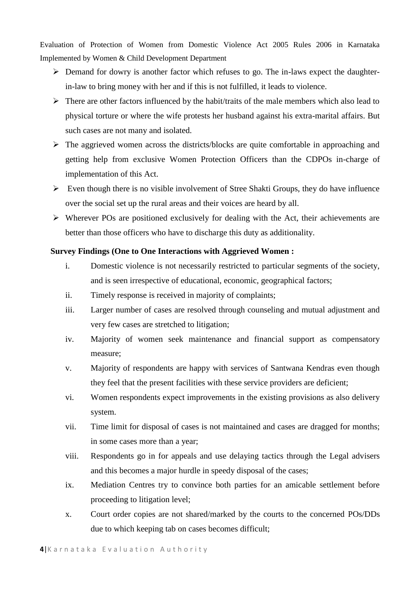Evaluation of Protection of Women from Domestic Violence Act 2005 Rules 2006 in Karnataka Implemented by Women & Child Development Department

- ➢ Demand for dowry is another factor which refuses to go. The in-laws expect the daughterin-law to bring money with her and if this is not fulfilled, it leads to violence.
- $\triangleright$  There are other factors influenced by the habit/traits of the male members which also lead to physical torture or where the wife protests her husband against his extra-marital affairs. But such cases are not many and isolated.
- ➢ The aggrieved women across the districts/blocks are quite comfortable in approaching and getting help from exclusive Women Protection Officers than the CDPOs in-charge of implementation of this Act.
- $\triangleright$  Even though there is no visible involvement of Stree Shakti Groups, they do have influence over the social set up the rural areas and their voices are heard by all.
- ➢ Wherever POs are positioned exclusively for dealing with the Act, their achievements are better than those officers who have to discharge this duty as additionality.

## **Survey Findings (One to One Interactions with Aggrieved Women :**

- i. Domestic violence is not necessarily restricted to particular segments of the society, and is seen irrespective of educational, economic, geographical factors;
- ii. Timely response is received in majority of complaints;
- iii. Larger number of cases are resolved through counseling and mutual adjustment and very few cases are stretched to litigation;
- iv. Majority of women seek maintenance and financial support as compensatory measure;
- v. Majority of respondents are happy with services of Santwana Kendras even though they feel that the present facilities with these service providers are deficient;
- vi. Women respondents expect improvements in the existing provisions as also delivery system.
- vii. Time limit for disposal of cases is not maintained and cases are dragged for months; in some cases more than a year;
- viii. Respondents go in for appeals and use delaying tactics through the Legal advisers and this becomes a major hurdle in speedy disposal of the cases;
- ix. Mediation Centres try to convince both parties for an amicable settlement before proceeding to litigation level;
- x. Court order copies are not shared/marked by the courts to the concerned POs/DDs due to which keeping tab on cases becomes difficult;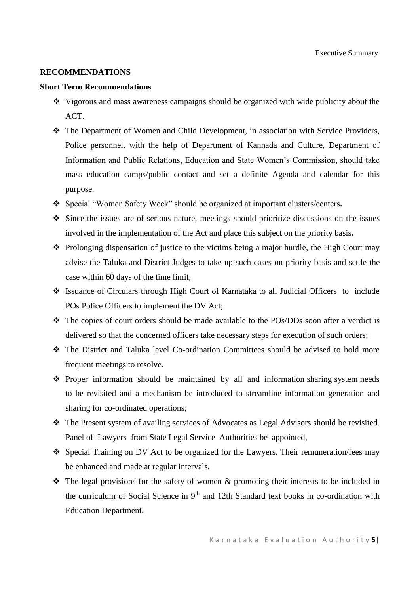#### **RECOMMENDATIONS**

### **Short Term Recommendations**

- ❖ Vigorous and mass awareness campaigns should be organized with wide publicity about the ACT.
- ❖ The Department of Women and Child Development, in association with Service Providers, Police personnel, with the help of Department of Kannada and Culture, Department of Information and Public Relations, Education and State Women's Commission, should take mass education camps/public contact and set a definite Agenda and calendar for this purpose.
- ❖ Special "Women Safety Week" should be organized at important clusters/centers**.**
- ❖ Since the issues are of serious nature, meetings should prioritize discussions on the issues involved in the implementation of the Act and place this subject on the priority basis**.**
- ❖ Prolonging dispensation of justice to the victims being a major hurdle, the High Court may advise the Taluka and District Judges to take up such cases on priority basis and settle the case within 60 days of the time limit;
- ❖ Issuance of Circulars through High Court of Karnataka to all Judicial Officers to include POs Police Officers to implement the DV Act;
- ❖ The copies of court orders should be made available to the POs/DDs soon after a verdict is delivered so that the concerned officers take necessary steps for execution of such orders;
- ❖ The District and Taluka level Co-ordination Committees should be advised to hold more frequent meetings to resolve.
- ❖ Proper information should be maintained by all and information sharing system needs to be revisited and a mechanism be introduced to streamline information generation and sharing for co-ordinated operations;
- ❖ The Present system of availing services of Advocates as Legal Advisors should be revisited. Panel of Lawyers from State Legal Service Authorities be appointed,
- ❖ Special Training on DV Act to be organized for the Lawyers. Their remuneration/fees may be enhanced and made at regular intervals.
- $\cdot \cdot$  The legal provisions for the safety of women & promoting their interests to be included in the curriculum of Social Science in  $9<sup>th</sup>$  and 12th Standard text books in co-ordination with Education Department.